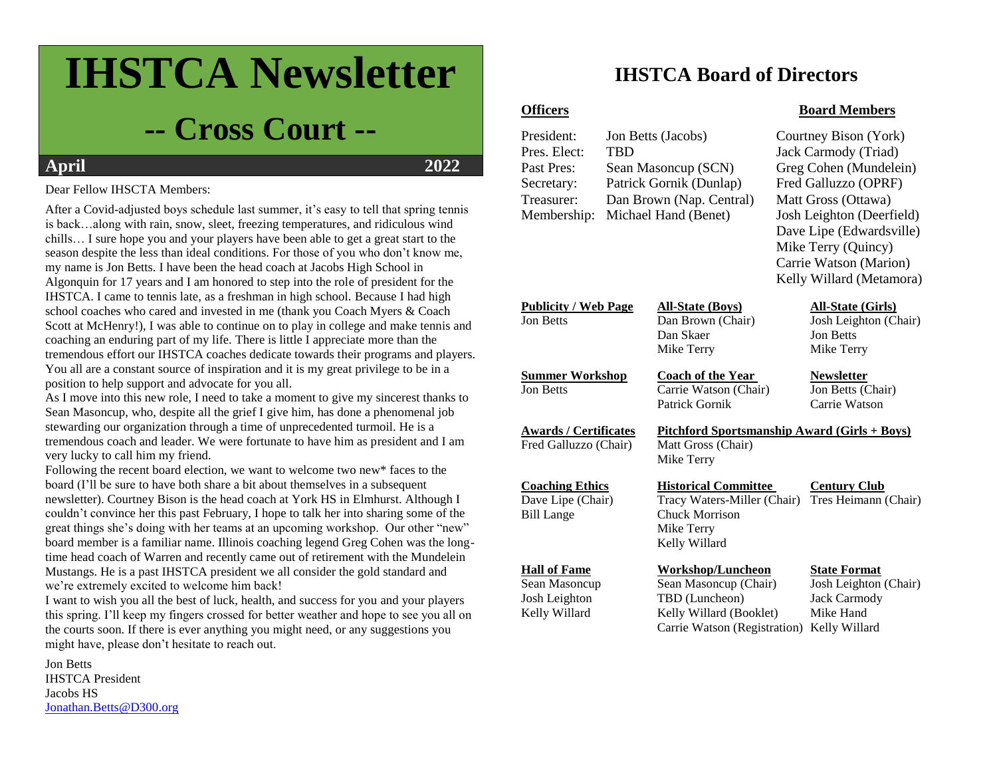# **IHSTCA Newsletter**

# **-- Cross Court --**

**April 2022**

### Dear Fellow IHSCTA Members:

After a Covid-adjusted boys schedule last summer, it's easy to tell that spring tennis is back…along with rain, snow, sleet, freezing temperatures, and ridiculous wind chills… I sure hope you and your players have been able to get a great start to the season despite the less than ideal conditions. For those of you who don't know me, my name is Jon Betts. I have been the head coach at Jacobs High School in Algonquin for 17 years and I am honored to step into the role of president for the IHSTCA. I came to tennis late, as a freshman in high school. Because I had high school coaches who cared and invested in me (thank you Coach Myers & Coach Scott at McHenry!), I was able to continue on to play in college and make tennis and coaching an enduring part of my life. There is little I appreciate more than the tremendous effort our IHSTCA coaches dedicate towards their programs and players. You all are a constant source of inspiration and it is my great privilege to be in a position to help support and advocate for you all.

As I move into this new role, I need to take a moment to give my sincerest thanks to Sean Masoncup, who, despite all the grief I give him, has done a phenomenal job stewarding our organization through a time of unprecedented turmoil. He is a tremendous coach and leader. We were fortunate to have him as president and I am very lucky to call him my friend.

Following the recent board election, we want to welcome two new\* faces to the board (I'll be sure to have both share a bit about themselves in a subsequent newsletter). Courtney Bison is the head coach at York HS in Elmhurst. Although I couldn't convince her this past February, I hope to talk her into sharing some of the great things she's doing with her teams at an upcoming workshop. Our other "new" board member is a familiar name. Illinois coaching legend Greg Cohen was the longtime head coach of Warren and recently came out of retirement with the Mundelein Mustangs. He is a past IHSTCA president we all consider the gold standard and we're extremely excited to welcome him back!

I want to wish you all the best of luck, health, and success for you and your players this spring. I'll keep my fingers crossed for better weather and hope to see you all on the courts soon. If there is ever anything you might need, or any suggestions you might have, please don't hesitate to reach out.

Jon Betts IHSTCA President Jacobs HS [Jonathan.Betts@D300.org](mailto:Jonathan.Betts@D300.org)

# **IHSTCA Board of Directors**

## **Officers Board Members**

| President:<br>Pres. Elect:<br>TBD<br>Past Pres:<br>Secretary:<br>Treasurer:<br>Membership: |  | Jon Betts (Jacobs)<br>Sean Masoncup (SCN)<br>Patrick Gornik (Dunlap)<br>Dan Brown (Nap. Central)<br>Michael Hand (Benet)       |  | Courtney Bison (York)<br>Jack Carmody (Triad)<br>Greg Cohen (Mundelein)<br>Fred Galluzzo (OPRF)<br>Matt Gross (Ottawa)<br>Josh Leighton (Deerfield)<br>Dave Lipe (Edwardsville)<br>Mike Terry (Quincy)<br>Carrie Watson (Marion)<br>Kelly Willard (Metamora) |
|--------------------------------------------------------------------------------------------|--|--------------------------------------------------------------------------------------------------------------------------------|--|--------------------------------------------------------------------------------------------------------------------------------------------------------------------------------------------------------------------------------------------------------------|
| <b>Publicity / Web Page</b><br><b>Jon Betts</b>                                            |  | <b>All-State (Boys)</b><br>Dan Brown (Chair)<br>Dan Skaer<br>Mike Terry                                                        |  | <b>All-State (Girls)</b><br>Josh Leighton (Chair)<br><b>Jon Betts</b><br>Mike Terry                                                                                                                                                                          |
| <b>Summer Workshop</b><br><b>Jon Betts</b>                                                 |  | <b>Coach of the Year</b><br>Carrie Watson (Chair)<br>Patrick Gornik                                                            |  | <b>Newsletter</b><br>Jon Betts (Chair)<br>Carrie Watson                                                                                                                                                                                                      |
| <b>Awards / Certificates</b><br>Fred Galluzzo (Chair)                                      |  | <b>Pitchford Sportsmanship Award (Girls + Boys)</b><br>Matt Gross (Chair)<br>Mike Terry                                        |  |                                                                                                                                                                                                                                                              |
| <b>Coaching Ethics</b><br>Dave Lipe (Chair)<br><b>Bill Lange</b>                           |  | <b>Historical Committee</b><br>Tracy Waters-Miller (Chair)<br>Chuck Morrison<br>Mike Terry<br>Kelly Willard                    |  | <b>Century Club</b><br>Tres Heimann (Chair)                                                                                                                                                                                                                  |
| <b>Hall of Fame</b><br>Sean Masoncup<br>Josh Leighton<br>Kelly Willard                     |  | <b>Workshop/Luncheon</b><br>Sean Masoncup (Chair)<br>TBD (Luncheon)<br>Kelly Willard (Booklet)<br>Carrie Watson (Registration) |  | <b>State Format</b><br>Josh Leighton (Chair)<br><b>Jack Carmody</b><br>Mike Hand<br>Kelly Willard                                                                                                                                                            |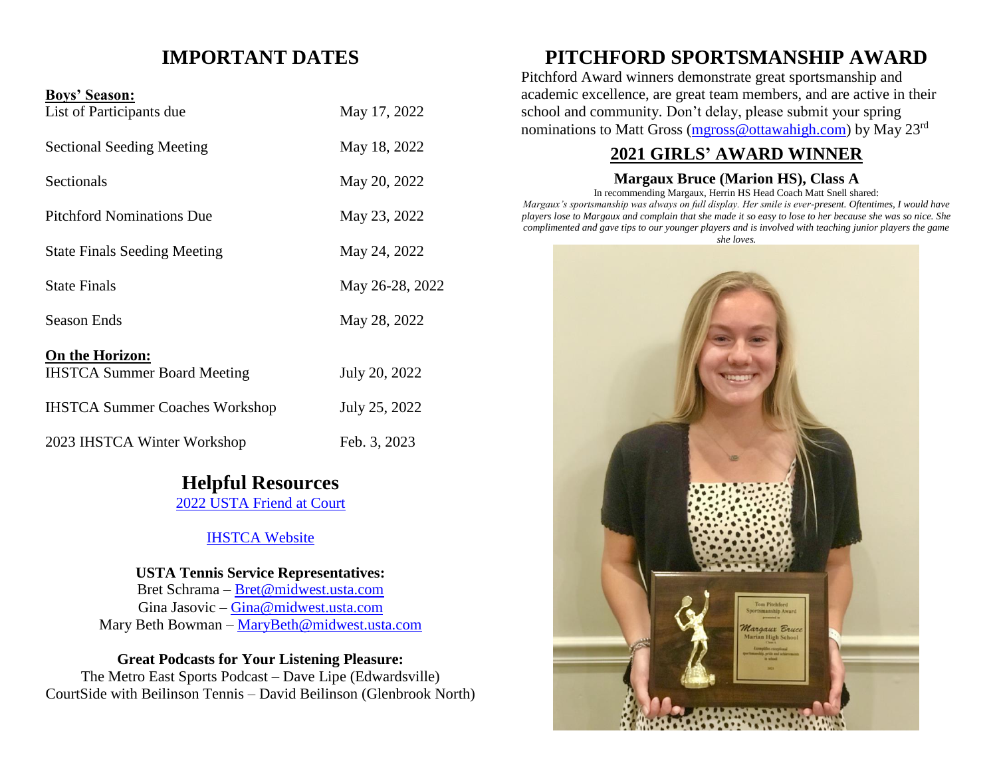# **IMPORTANT DATES**

| <b>Boys' Season:</b>                                  |                 |
|-------------------------------------------------------|-----------------|
| List of Participants due                              | May 17, 2022    |
| <b>Sectional Seeding Meeting</b>                      | May 18, 2022    |
| Sectionals                                            | May 20, 2022    |
| <b>Pitchford Nominations Due</b>                      | May 23, 2022    |
| <b>State Finals Seeding Meeting</b>                   | May 24, 2022    |
| <b>State Finals</b>                                   | May 26-28, 2022 |
| <b>Season Ends</b>                                    | May 28, 2022    |
| On the Horizon:<br><b>IHSTCA Summer Board Meeting</b> | July 20, 2022   |
| <b>IHSTCA Summer Coaches Workshop</b>                 | July 25, 2022   |
| 2023 IHSTCA Winter Workshop                           | Feb. 3, 2023    |

# **Helpful Resources**

[2022 USTA Friend at Court](https://www.usta.com/content/dam/usta/2022-pdfs/2022%20Friend%20at%20Court.pdf)

# [IHSTCA Website](http://www.ihstca.org/)

# **USTA Tennis Service Representatives:**

Bret Schrama – [Bret@midwest.usta.com](mailto:Bret@midwest.usta.com) Gina Jasovic – [Gina@midwest.usta.com](mailto:Gina@midwest.usta.com) Mary Beth Bowman – [MaryBeth@midwest.usta.com](mailto:MaryBeth@midwest.usta.com)

# **Great Podcasts for Your Listening Pleasure:**

The Metro East Sports Podcast – Dave Lipe (Edwardsville) CourtSide with Beilinson Tennis – David Beilinson (Glenbrook North)

# **PITCHFORD SPORTSMANSHIP AWARD**

Pitchford Award winners demonstrate great sportsmanship and academic excellence, are great team members, and are active in their school and community. Don't delay, please submit your spring nominations to Matt Gross [\(mgross@ottawahigh.com\)](mailto:mgross@ottawahigh.com) by May 23rd

# **2021 GIRLS' AWARD WINNER**

# **Margaux Bruce (Marion HS), Class A**

In recommending Margaux, Herrin HS Head Coach Matt Snell shared: *Margaux's sportsmanship was always on full display. Her smile is ever-present. Oftentimes, I would have players lose to Margaux and complain that she made it so easy to lose to her because she was so nice. She complimented and gave tips to our younger players and is involved with teaching junior players the game she loves.*

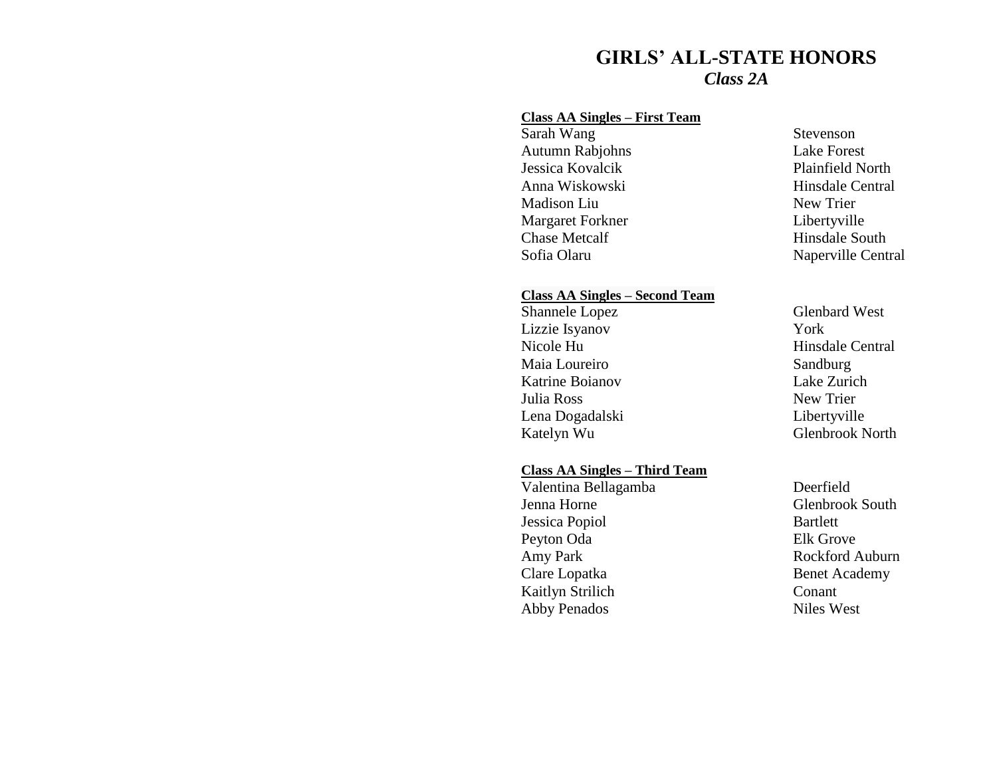# **GIRLS' ALL-STATE HONORS** *Class 2A*

#### **Class AA Singles – First Team**

Sarah Wang Stevenson<br>Autumn Rabiohns (Lake Forest) Autumn Rabjohns Jessica Kovalcik Plainfield North Anna Wiskowski Hinsdale Central Madison Liu New Trier Margaret Forkner Libertyville Chase Metcalf Hinsdale South Sofia Olaru Naperville Central

#### **Class AA Singles – Second Team**

Shannele Lopez Glenbard West Lizzie Isyanov York Nicole Hu Hinsdale Central Maia Loureiro Sandburg Katrine Boianov Lake Zurich Julia Ross New Trier Lena Dogadalski Libertyville Katelyn Wu Glenbrook North

#### **Class AA Singles – Third Team**

Valentina Bellagamba Deerfield Jenna Horne Glenbrook South Jessica Popiol Bartlett Peyton Oda Elk Grove Amy Park Rockford Auburn Clare Lopatka Benet Academy Kaitlyn Strilich Conant Abby Penados Niles West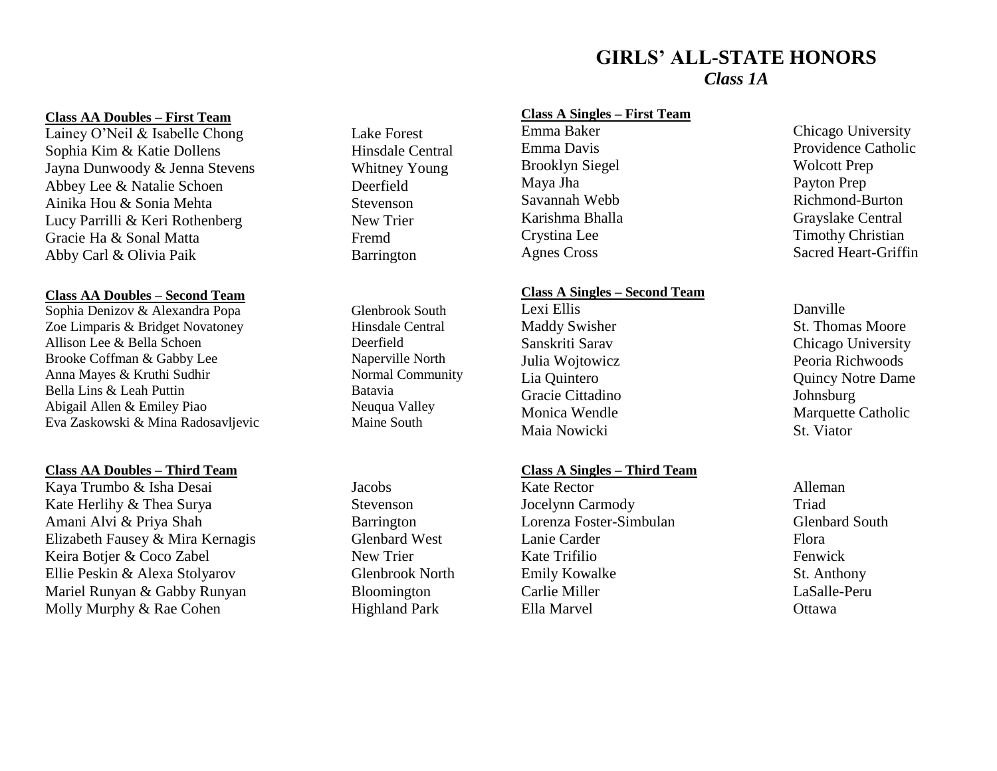# **GIRLS' ALL-STATE HONORS**

# *Class 1A*

#### **Class AA Doubles – First Team**

Lainey O'Neil & Isabelle Chong Lake Forest Sophia Kim & Katie Dollens Hinsdale Central Jayna Dunwoody & Jenna Stevens Whitney Young Abbey Lee & Natalie Schoen Deerfield Ainika Hou & Sonia Mehta Stevenson Lucy Parrilli & Keri Rothenberg New Trier Gracie Ha & Sonal Matta Fremd Abby Carl & Olivia Paik Barrington

#### **Class AA Doubles – Second Team**

Sophia Denizov & Alexandra Popa Glenbrook South Zoe Limparis & Bridget Novatoney<br>
Hinsdale Central Allison Lee & Bella Schoen Deerfield Brooke Coffman & Gabby Lee Naperville North Anna Mayes & Kruthi Sudhir Normal Community Bella Lins & Leah Puttin Batavia Abigail Allen & Emiley Piao Neuqua Valley<br>
Eva Zaskowski & Mina Radosavlievic Maine South Eva Zaskowski & Mina Radosavljevic

#### **Class AA Doubles – Third Team**

Kaya Trumbo & Isha Desai Jacobs Kate Herlihy & Thea Surya Stevenson Amani Alvi & Priya Shah Barrington Elizabeth Fausey & Mira Kernagis Glenbard West Keira Botjer & Coco Zabel New Trier Ellie Peskin & Alexa Stolyarov Glenbrook North Mariel Runyan & Gabby Runyan Bloomington Molly Murphy & Rae Cohen Highland Park

#### **Class A Singles – First Team**

Brooklyn Siegel Wolcott Prep Maya Jha Payton Prep

#### **Class A Singles – Second Team**

Lexi Ellis Danville Gracie Cittadino Johnsburg Maia Nowicki St. Viator

### **Class A Singles – Third Team**

Kate Rector **Alleman** Jocelynn Carmody Triad Lorenza Foster-Simbulan Glenbard South Lanie Carder Flora Kate Trifilio Fenwick Emily Kowalke St. Anthony Carlie Miller LaSalle-Peru Ella Marvel Ottawa

Emma Baker Chicago University Emma Davis Providence Catholic Savannah Webb Richmond-Burton Karishma Bhalla Grayslake Central Crystina Lee Timothy Christian Agnes Cross Sacred Heart-Griffin

Maddy Swisher St. Thomas Moore Sanskriti Sarav Chicago University Julia Wojtowicz Peoria Richwoods Lia Quintero Quincy Notre Dame Monica Wendle Marquette Catholic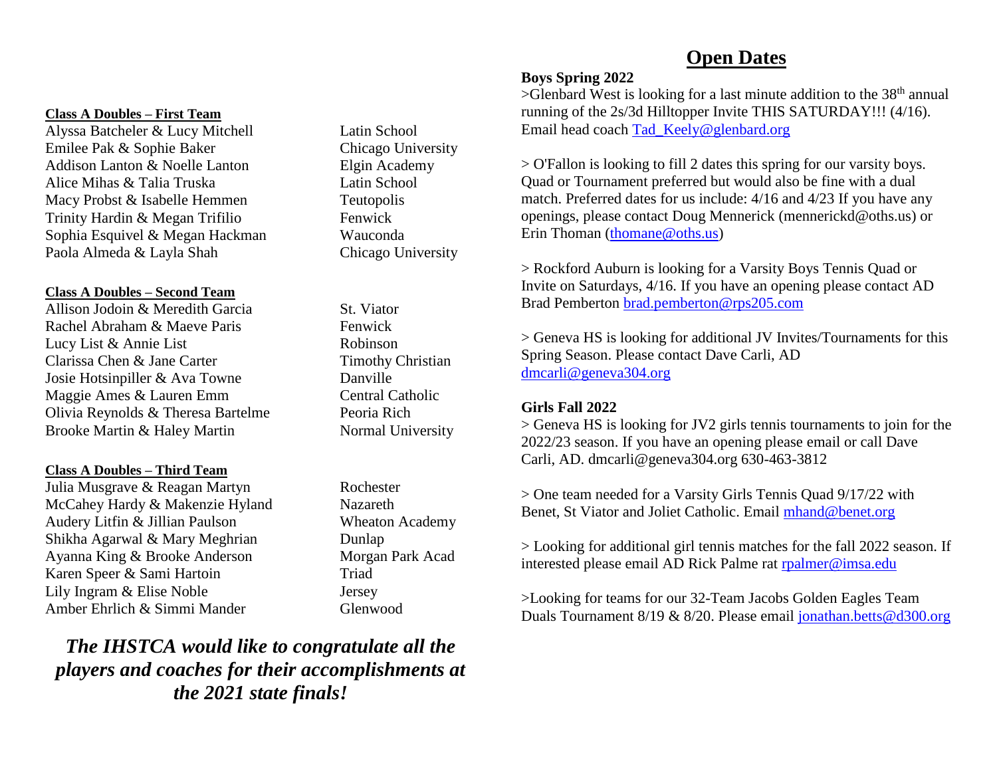#### **Class A Doubles – First Team**

Alyssa Batcheler & Lucy Mitchell Latin School Emilee Pak & Sophie Baker Chicago University Addison Lanton & Noelle Lanton Elgin Academy Alice Mihas & Talia Truska<br>
Latin School Macy Probst & Isabelle Hemmen Teutopolis Trinity Hardin & Megan Trifilio Fenwick Sophia Esquivel & Megan Hackman Wauconda Paola Almeda & Layla Shah Chicago University

#### **Class A Doubles – Second Team**

Allison Jodoin & Meredith Garcia St. Viator Rachel Abraham & Maeve Paris Fenwick Lucy List & Annie List Robinson Clarissa Chen & Jane Carter Timothy Christian Josie Hotsinpiller & Ava Towne Danville Maggie Ames & Lauren Emm Central Catholic Olivia Reynolds & Theresa Bartelme Peoria Rich Brooke Martin & Haley Martin Normal University

## **Class A Doubles – Third Team**

Julia Musgrave & Reagan Martyn Rochester McCahey Hardy & Makenzie Hyland Nazareth Audery Litfin & Jillian Paulson Wheaton Academy Shikha Agarwal & Mary Meghrian Dunlap Ayanna King & Brooke Anderson Morgan Park Acad Karen Speer & Sami Hartoin Triad Lily Ingram & Elise Noble Jersey Amber Ehrlich & Simmi Mander Glenwood

*The IHSTCA would like to congratulate all the players and coaches for their accomplishments at the 2021 state finals!*

# **Open Dates**

## **Boys Spring 2022**

 $>$ Glenbard West is looking for a last minute addition to the 38<sup>th</sup> annual running of the 2s/3d Hilltopper Invite THIS SATURDAY!!! (4/16). Email head coach [Tad\\_Keely@glenbard.org](mailto:Tad_Keely@glenbard.org)

> O'Fallon is looking to fill 2 dates this spring for our varsity boys. Quad or Tournament preferred but would also be fine with a dual match. Preferred dates for us include: 4/16 and 4/23 If you have any openings, please contact Doug Mennerick (mennerickd@oths.us) or Erin Thoman [\(thomane@oths.us\)](mailto:thomane@oths.us)

> Rockford Auburn is looking for a Varsity Boys Tennis Quad or Invite on Saturdays, 4/16. If you have an opening please contact AD Brad Pemberton [brad.pemberton@rps205.com](mailto:brad.pemberton@rps205.com)

> Geneva HS is looking for additional JV Invites/Tournaments for this Spring Season. Please contact Dave Carli, AD [dmcarli@geneva304.org](mailto:dmcarli@geneva304.org)

#### **Girls Fall 2022**

> Geneva HS is looking for JV2 girls tennis tournaments to join for the 2022/23 season. If you have an opening please email or call Dave Carli, AD. dmcarli@geneva304.org 630-463-3812

> One team needed for a Varsity Girls Tennis Quad 9/17/22 with Benet, St Viator and Joliet Catholic. Email [mhand@benet.org](mailto:mhand@benet.org)

> Looking for additional girl tennis matches for the fall 2022 season. If interested please email AD Rick Palme rat [rpalmer@imsa.edu](mailto:rpalmer@imsa.edu)

>Looking for teams for our 32-Team Jacobs Golden Eagles Team Duals Tournament 8/19 & 8/20. Please email [jonathan.betts@d300.org](mailto:jonathan.betts@d300.org)